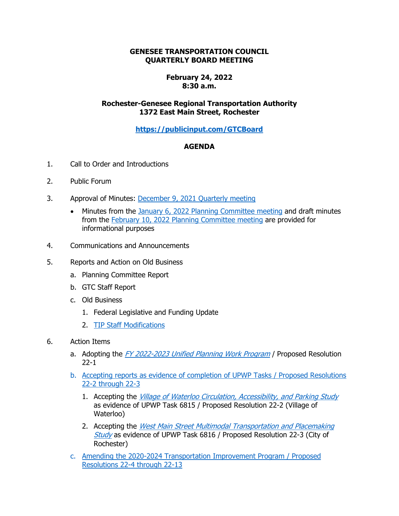## **GENESEE TRANSPORTATION COUNCIL QUARTERLY BOARD MEETING**

## **February 24, 2022 8:30 a.m.**

## **Rochester-Genesee Regional Transportation Authority 1372 East Main Street, Rochester**

**<https://publicinput.com/GTCBoard>**

## **AGENDA**

- 1. Call to Order and Introductions
- 2. Public Forum
- 3. Approval of Minutes: [December 9, 2021](https://www.gtcmpo.org/sites/default/files/pdf/2022/gtc_february2022_item3_minutes.pdf) Quarterly meeting
	- Minutes from the January 6, 2022 [Planning Committee meeting](https://www.gtcmpo.org/sites/default/files/pdf/2022/gtc_february2022_item3a1_pc_january.pdf) and draft minutes from the February 10, [2022 Planning Committee meeting](https://www.gtcmpo.org/sites/default/files/pdf/2022/gtc_february2022_item3a2_pc_february.pdf) are provided for informational purposes
- 4. Communications and Announcements
- 5. Reports and Action on Old Business
	- a. Planning Committee Report
	- b. GTC Staff Report
	- c. Old Business
		- 1. Federal Legislative and Funding Update
		- 2. [TIP Staff Modifications](https://www.gtcmpo.org/sites/default/files/pdf/2022/gtc_february2022_item5c2_tip_modifications.pdf)
- 6. Action Items
	- a. Adopting the [FY 2022-2023 Unified Planning Work Program](https://www.gtcmpo.org/sites/default/files/pdf/2022/gtc_february2022_item6a_upwp_adoption.pdf) / Proposed Resolution 22-1
	- b. [Accepting reports as evidence of completion of UPWP Tasks](https://www.gtcmpo.org/sites/default/files/pdf/2022/gtc_february2022_item6b_upwp.pdf) / Proposed Resolutions [22-2 through](https://www.gtcmpo.org/sites/default/files/pdf/2022/gtc_february2022_item6b_upwp.pdf) 22-3
		- 1. Accepting the [Village of Waterloo Circulation, Accessibility, and Parking Study](https://gtcmpo.org/sites/default/files/pdf/2022/gtc_february2022_item6b_upwp6815.pdf) as evidence of UPWP Task 6815 / Proposed Resolution 22-2 (Village of Waterloo)
		- 2. Accepting the West Main Street Multimodal Transportation and Placemaking [Study](https://www.gtcmpo.org/sites/default/files/gtc_february2022_item6b_upwp6816.pdf) as evidence of UPWP Task 6816 / Proposed Resolution 22-3 (City of Rochester)
	- c. [Amending the 2020-2024 Transportation Improvement Program / Proposed](https://www.gtcmpo.org/sites/default/files/pdf/2022/gtc_february2022_item6c_tip.pdf)  Resolutions 22-4 [through 22-13](https://www.gtcmpo.org/sites/default/files/pdf/2022/gtc_february2022_item6c_tip.pdf)